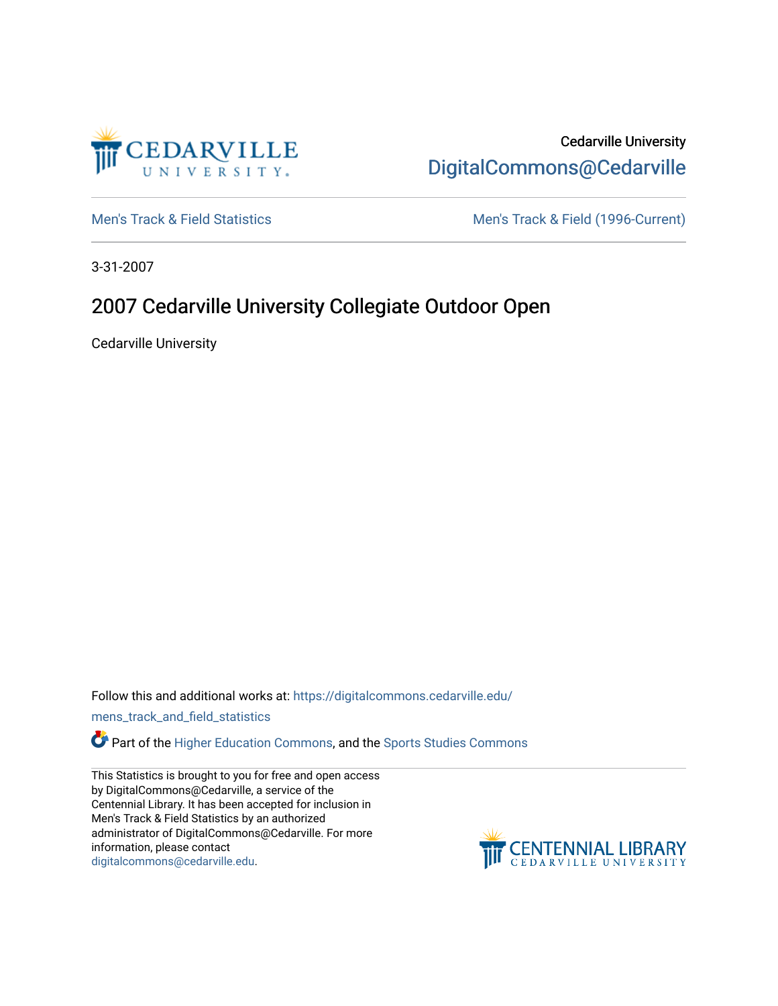

Cedarville University [DigitalCommons@Cedarville](https://digitalcommons.cedarville.edu/) 

[Men's Track & Field Statistics](https://digitalcommons.cedarville.edu/mens_track_and_field_statistics) [Men's Track & Field \(1996-Current\)](https://digitalcommons.cedarville.edu/mens_track_and_field) 

3-31-2007

## 2007 Cedarville University Collegiate Outdoor Open

Cedarville University

Follow this and additional works at: [https://digitalcommons.cedarville.edu/](https://digitalcommons.cedarville.edu/mens_track_and_field_statistics?utm_source=digitalcommons.cedarville.edu%2Fmens_track_and_field_statistics%2F179&utm_medium=PDF&utm_campaign=PDFCoverPages)

[mens\\_track\\_and\\_field\\_statistics](https://digitalcommons.cedarville.edu/mens_track_and_field_statistics?utm_source=digitalcommons.cedarville.edu%2Fmens_track_and_field_statistics%2F179&utm_medium=PDF&utm_campaign=PDFCoverPages)

**Part of the [Higher Education Commons,](http://network.bepress.com/hgg/discipline/1245?utm_source=digitalcommons.cedarville.edu%2Fmens_track_and_field_statistics%2F179&utm_medium=PDF&utm_campaign=PDFCoverPages) and the Sports Studies Commons** 

This Statistics is brought to you for free and open access by DigitalCommons@Cedarville, a service of the Centennial Library. It has been accepted for inclusion in Men's Track & Field Statistics by an authorized administrator of DigitalCommons@Cedarville. For more information, please contact [digitalcommons@cedarville.edu](mailto:digitalcommons@cedarville.edu).

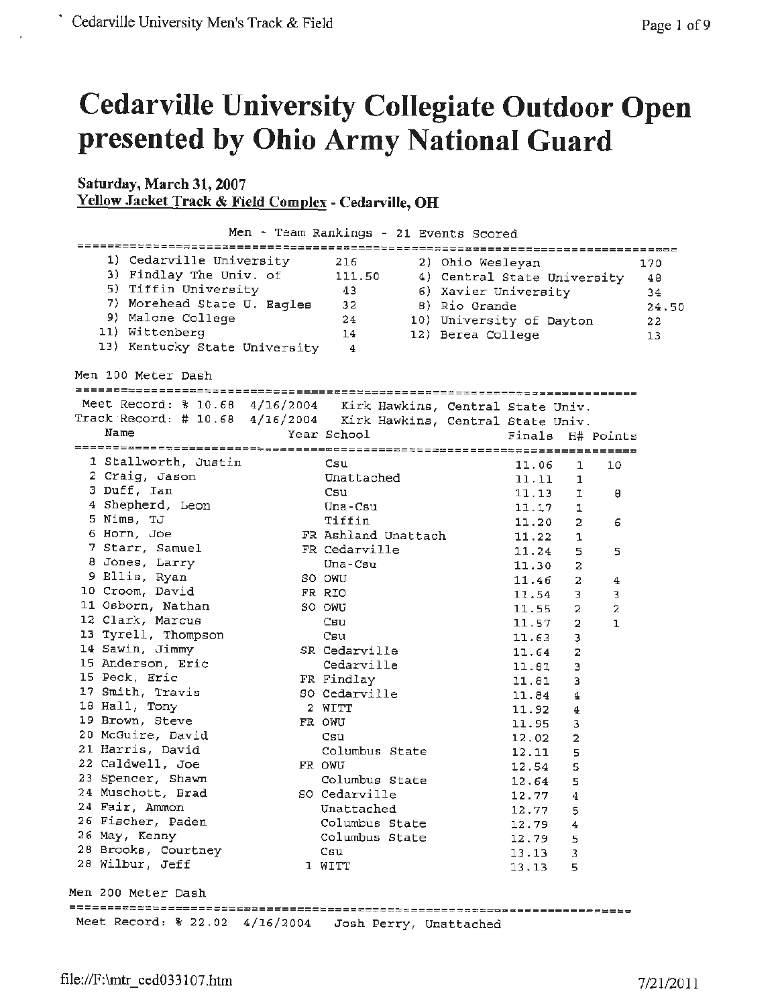## **Cedarville University Collegiate Outdoor Open presented by Ohio Army National Guard**

## **Saturday, March 31, 2007 Yellow Jacket Track & Field Complex - Cedarville, OH**

|                                                                   |                |                     | Men - Team Rankings - 21 Events Scored |         |        |                  |       |
|-------------------------------------------------------------------|----------------|---------------------|----------------------------------------|---------|--------|------------------|-------|
| 1) Cedarville University                                          | 216            |                     | 2) Ohio Wesleyan                       |         |        |                  | 170   |
| 3) Findlay The Univ. of                                           | 111.50         |                     | 4) Central State University            |         |        |                  | 48    |
| 5) Tiffin University                                              | 43             |                     | 6) Xavier University                   |         |        |                  | 34    |
| 7) Morehead State U. Eagles                                       | 32             |                     | 8) Rio Grande                          |         |        |                  | 24.50 |
| 9) Malone College                                                 | 24             |                     | 10) University of Dayton               |         |        |                  | 22    |
| 11) Wittenberg                                                    | 14             |                     | 12) Berea College                      |         |        |                  | 13    |
| 13) Kentucky State University                                     | 4              |                     |                                        |         |        |                  |       |
| Men 100 Meter Dash                                                |                |                     |                                        |         |        |                  |       |
|                                                                   |                |                     |                                        |         |        |                  |       |
| Meet Record: \$ 10.68 4/16/2004 Kirk Hawkins, Central State Univ. |                |                     |                                        |         |        |                  |       |
| Track Record: # 10.68 4/16/2004 Kirk Hawkins, Central State Univ. |                |                     |                                        |         |        |                  |       |
| Name                                                              | Year School    |                     |                                        |         |        | Finals H# Points |       |
|                                                                   |                |                     |                                        |         |        |                  |       |
| 1 Stallworth, Justin                                              | Csu            |                     |                                        | 11.06   | 1      | 10               |       |
| 2 Craig, Jason                                                    | Unattached     |                     |                                        | 11.11   | 1      |                  |       |
| 3 Duff, Ian                                                       | Csu            |                     |                                        | 11.13   | ı      | θ                |       |
| 4 Shepherd, Leon                                                  | Una-Csu        |                     |                                        | 11.17   | 1      |                  |       |
| 5 Nims, TJ                                                        | Tiffin         |                     |                                        | 11.20   | 2      | 6                |       |
| 6 Horn, Joe                                                       |                | FR Ashland Unattach |                                        | 11.22   | ı      |                  |       |
| 7 Starr, Samuel                                                   | FR Cedarville  |                     |                                        | 11.24   | 5      | 5                |       |
| 8 Jones, Larry                                                    | Una-Csu        |                     |                                        | 11.30   | 2      |                  |       |
| 9 Ellis, Ryan                                                     | SO OWU         |                     |                                        | 11.46   | 2      | 4                |       |
| 10 Croom, David                                                   | FR RIO         |                     |                                        | 11.54   | 3      | 3                |       |
| 11 Osborn, Nathan                                                 | SO OWU         |                     |                                        | 11.55   | 2      | 2                |       |
| 12 Clark, Marcus                                                  | Csu            |                     |                                        | 11.57   | 2      | 1                |       |
| 13 Tyrell, Thompson                                               | Csu            |                     |                                        | 11.63   | 3      |                  |       |
| 14 Sawin, Jimmy                                                   | SR Cedarville  |                     |                                        | 11.64   | 2      |                  |       |
| 15 Anderson, Eric                                                 | Cedarville     |                     |                                        | 11.81   | з      |                  |       |
| 15 Peck, Eric                                                     | FR Findlay     |                     |                                        | 11.81   | 3      |                  |       |
| 17 Smith, Travis                                                  | SO Cedarville  |                     |                                        | 11.84   | 4      |                  |       |
| 18 Hall, Tony                                                     | 2 WITT         |                     |                                        | 11.92   | 4      |                  |       |
| 19 Brown, Steve                                                   | FR OWU         |                     |                                        | 11.95   | з      |                  |       |
| 20 McGuire, David                                                 | Csu            |                     |                                        | 12.02   | 2      |                  |       |
| 21 Harris, David                                                  | Columbus State |                     |                                        | 12.11   |        |                  |       |
| 22 Caldwell, Joe                                                  | FR OWU         |                     |                                        | 12.54   | 5<br>S |                  |       |
| 23 Spencer, Shawn                                                 | Columbus State |                     |                                        |         |        |                  |       |
| 24 Muschott, Brad                                                 | SO Cedarville  |                     |                                        | 12.64   | 5      |                  |       |
| 24 Fair, Ammon                                                    |                |                     |                                        | 12.77 4 |        |                  |       |
| 26 Fischer, Paden                                                 | Unattached     |                     |                                        | 12.77   | 5      |                  |       |
| 26 May, Kenny                                                     | Columbus State |                     |                                        | 12.79   | 4      |                  |       |
| 28 Brooks, Courtney                                               | Columbus State |                     |                                        | 12.79   | 5      |                  |       |
| 28 Wilbur, Jeff                                                   | Csu<br>1 WITT  |                     |                                        | 13.13   | 3      |                  |       |
|                                                                   |                |                     |                                        | 13.13   | 5      |                  |       |
| Men 200 Meter Dash                                                |                |                     |                                        |         |        |                  |       |
| Meet Record: % 22.02 4/16/2004 Josh Perry, Unattached             |                |                     |                                        |         |        |                  |       |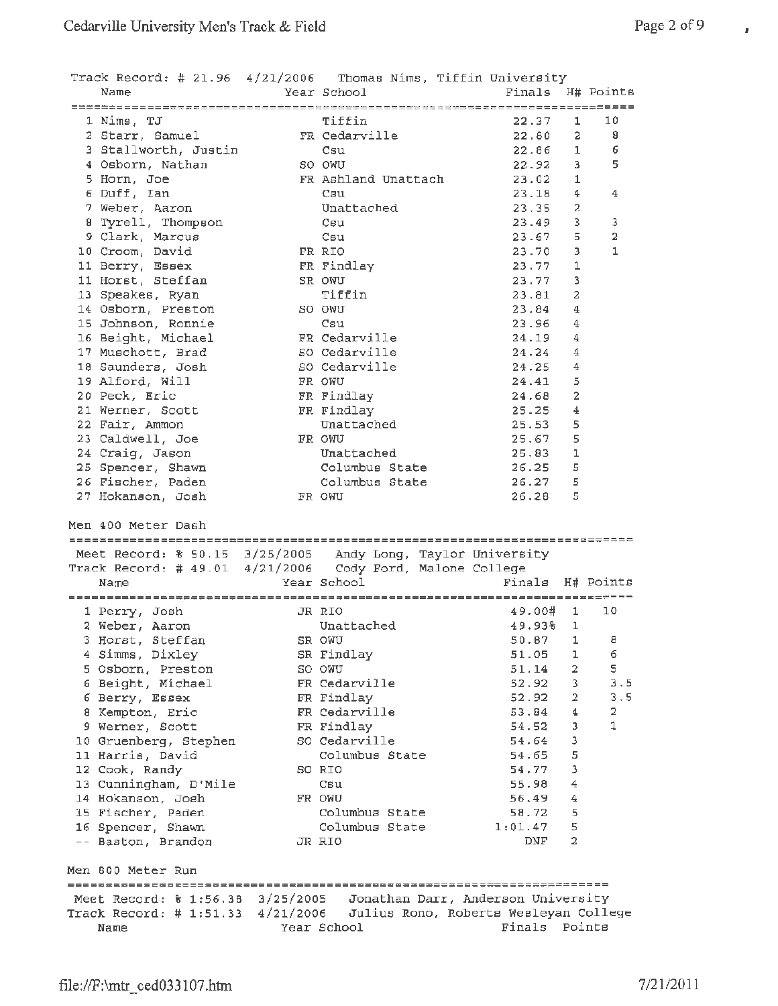$\bar{z}$ 

| Track Record: # 21.96 4/21/2006 Thomas Nims, Tiffin University                                                                                         |             |                          |                  |                |                |
|--------------------------------------------------------------------------------------------------------------------------------------------------------|-------------|--------------------------|------------------|----------------|----------------|
| Name                                                                                                                                                   | Year School |                          | Finals H# Points |                |                |
|                                                                                                                                                        |             |                          |                  |                |                |
| 1 Nims, TJ                                                                                                                                             |             | Tiffin                   | 22.37            | 1.             | 10             |
| 2 Starr, Samuel                                                                                                                                        |             | FR Cedarville            | 22.80            | $\overline{a}$ | 8              |
| 3 Stallworth, Justin                                                                                                                                   |             | Csu                      | 22.86            | $\mathbf{1}$   | 6              |
| 4 Osborn, Nathan                                                                                                                                       |             | SO OWU                   | 22.92            | 3.             | 5              |
| 5 Horn, Joe                                                                                                                                            |             | FR Ashland Unattach      | 23.02            | 1              |                |
| 6 Duff, Ian                                                                                                                                            |             | Csu                      | 23.18            | 4              | 4              |
| 7 Weber, Aaron                                                                                                                                         |             | Unattached               | 23.35            | 2              |                |
| 8 Tyrell, Thompson                                                                                                                                     |             | Csu                      | 23.49            | 3.             | 3              |
| 9 Clark, Marcus                                                                                                                                        |             | Csu                      | 23.67            | 5              | $\overline{a}$ |
| 10 Croom, David                                                                                                                                        |             | FR RIO                   | 23.70            | 3              | $\mathbf{1}$   |
| 11 Berry, Essex                                                                                                                                        |             | FR Findlay               | 23.77            | 1              |                |
| 11 Horst, Steffan                                                                                                                                      |             | SR OWU                   | 23.77            | 3              |                |
| 13 Speakes, Ryan                                                                                                                                       |             | Tiffin                   | 23.81            | 2              |                |
| 14 Osborn, Preston                                                                                                                                     |             | SO OWU                   | 23.84            | 4              |                |
| 15 Johnson, Ronnie                                                                                                                                     |             | Csu                      | 23.96            | 4              |                |
| 16 Beight, Michael                                                                                                                                     |             | FR Cedarville            | 24.19            | 4              |                |
| 17 Muschott, Brad                                                                                                                                      |             | SO Cedarville            | 24.24            | 4              |                |
| 18 Saunders, Josh                                                                                                                                      |             | SO Cedarville            | 24.25            | 4              |                |
| 19 Alford, Will                                                                                                                                        |             | FR OWU                   | 24.41            | 5              |                |
| 20 Peck, Eric                                                                                                                                          |             | FR Findlay               | 24.68            | $\overline{2}$ |                |
| 21 Werner, Scott                                                                                                                                       |             | FR Findlay               | 25.25            | $\overline{4}$ |                |
| 22 Fair, Ammon                                                                                                                                         |             | Unattached               | 25.53            | 5              |                |
| 23 Caldwell, Joe                                                                                                                                       |             | FR OWU                   | 25.67            | 5              |                |
| 24 Craig, Jason                                                                                                                                        |             | Unattached               | 25.83            | ı              |                |
| 25 Spencer, Shawn                                                                                                                                      |             | Columbus State           | 26.25            | 5              |                |
| 26 Fischer, Paden                                                                                                                                      |             | Columbus State           | 26.27            | 5              |                |
|                                                                                                                                                        |             | FR OWU                   | 26.28            | 5              |                |
| 27 Hokanson, Josh                                                                                                                                      |             |                          |                  |                |                |
| Men 400 Meter Dash<br>Meet Record: % 50.15 3/25/2005 Andy Long, Taylor University<br>Track Record: # 49.01 4/21/2006 Cody Ford, Malone College<br>Name |             | Year School              | Finals H# Points |                |                |
|                                                                                                                                                        |             |                          |                  |                |                |
| 1 Perry, Josh                                                                                                                                          |             | JR RIO                   | 49.00#           | 1.             | 10             |
| 2 Weber, Aaron                                                                                                                                         |             | Unattached               | 49.938           | 1              |                |
| 3 Horst, Steffan                                                                                                                                       |             | SR OWU                   | 50.87 1          |                | $\overline{B}$ |
| 4 Simms, Dixley                                                                                                                                        |             | SR Findlay               | 51.05            | 1              | 6              |
| 5 Osborn, Preston                                                                                                                                      |             | SO OWU                   | 51.14            | $\overline{a}$ | 5              |
| 6 Beight, Michael                                                                                                                                      |             | FR Cedarville            | 52.92            | $3 -$          | 3.5            |
| 6 Berry, Essex                                                                                                                                         |             | FR Findlay               | 52.92            | $\overline{2}$ | 3.5            |
| 8 Kempton, Eric                                                                                                                                        |             | FR Cedarville            | 53.84            | 4              | 2              |
| 9 Werner, Scott                                                                                                                                        |             | FR Findlay               | 54.52            | 3              | 1              |
| 10 Gruenberg, Stephen                                                                                                                                  |             | SO Cedarville            | 54.64            | з              |                |
| 11 Harris, David                                                                                                                                       |             | Columbus State           | 54.65            | 5              |                |
|                                                                                                                                                        |             | SO RIO                   | 54.77            | 3              |                |
| 12 Cook, Randy                                                                                                                                         |             | Csu                      | 55.98            | 4              |                |
| 13 Cunningham, D'Mile                                                                                                                                  |             | FR OWU                   | 56.49            | 4              |                |
| 14 Hokanson, Josh                                                                                                                                      |             | Columbus State           | 58.72            | 5              |                |
| 15 Fischer, Paden                                                                                                                                      |             |                          |                  | 5              |                |
| 16 Spencer, Shawn                                                                                                                                      |             | Columbus State<br>JR RIO | 1:01.47<br>DNF.  | 2              |                |
| -- Baston, Brandon                                                                                                                                     |             |                          |                  |                |                |
| Men 800 Meter Run                                                                                                                                      |             |                          |                  |                |                |
|                                                                                                                                                        |             |                          |                  |                |                |
| Meet Record: % 1:56.38 3/25/2005  Jonathan Darr, Anderson University                                                                                   |             |                          |                  |                |                |
| Track Record: # 1:51.33 4/21/2006 Julius Rono, Roberts Wesleyan College                                                                                |             |                          |                  |                |                |
| Name                                                                                                                                                   |             | Year School              | Finals Points    |                |                |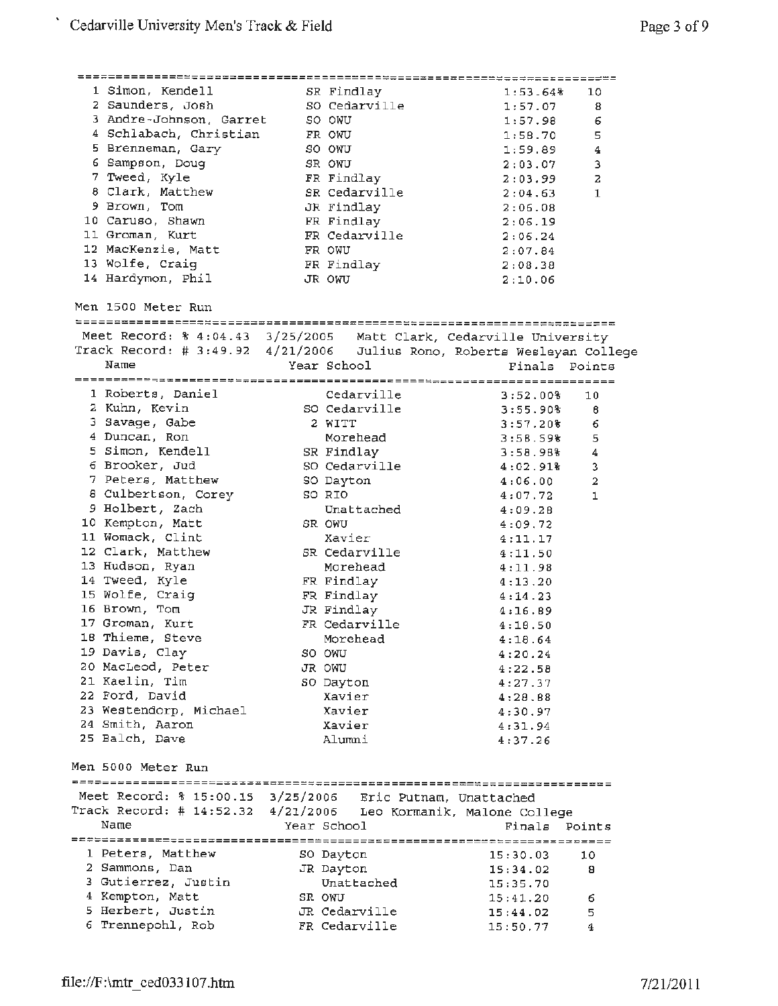| 1 Simon, Kendell                                                        | SR Findlay    | 1:53.648               | 10                      |
|-------------------------------------------------------------------------|---------------|------------------------|-------------------------|
| 2 Saunders, Josh                                                        | SO Cedarville | 1:57.07                | 8                       |
| 3 Andre-Johnson, Garret                                                 | SO OWU        | 1:57.98                | 6                       |
| 4 Schlabach, Christian                                                  | FR OWU        | 1:58.70                | 5                       |
| 5 Brenneman, Gary                                                       | SO OWU        | 1:59.89                | $\overline{4}$          |
| 6 Sampson, Doug                                                         | SR OWU        | 2:03.07                | з                       |
| 7 Tweed, Kyle                                                           | FR Findlay    | 2:03.99                | 2                       |
| 8 Clark, Matthew                                                        | SR Cedarville | 2:04.63                | 1                       |
| 9 Brown, Tom                                                            |               |                        |                         |
|                                                                         | JR Findlay    | 2:06.08                |                         |
| 10 Caruso, Shawn<br>11 Groman, Kurt                                     | FR Findlay    | 2:06.19                |                         |
|                                                                         | FR Cedarville | 2:06.24                |                         |
| 12 MacKenzie, Matt                                                      | FR OWU        | 2:07.84                |                         |
| 13 Wolfe, Craig                                                         | FR Findlay    | 2:08.38                |                         |
| 14 Hardymon, Phil                                                       | JR OWU        | 2:10.06                |                         |
| Men 1500 Meter Run                                                      |               |                        |                         |
|                                                                         |               |                        |                         |
| Meet Record: % 4:04.43 3/25/2005 Matt Clark, Cedarville University      |               |                        |                         |
| Track Record: # 3:49.92 4/21/2006 Julius Rono, Roberts Wesleyan College |               |                        |                         |
| Name                                                                    | Year School   | Finals Points          |                         |
|                                                                         |               |                        |                         |
| 1 Roberts, Daniel                                                       | Cedarville    | 3:52.008               | 10                      |
| 2 Kuhn, Kevin                                                           | SO Cedarville | 3:55.90%               | 8                       |
| 3 Savage, Gabe                                                          | 2 WITT        | 3:57.20%               | 6                       |
| 4 Duncan, Ron                                                           | Morehead      | 3:58.59%               | 5                       |
| 5 Simon, Kendell                                                        | SR Findlay    | 3:58.98%               | 4                       |
| 6 Brooker, Jud                                                          | SO Cedarville | $4:02.91$ <sup>2</sup> | 3                       |
| 7 Peters, Matthew                                                       | SO Dayton     | 4:06.00                | $\overline{\mathbf{2}}$ |
| 8 Culbertson, Corey                                                     | SO RIO        | 4:07.72                | 1                       |
| 9 Holbert, Zach                                                         | Unattached    | 4:09.28                |                         |
| 10 Kempton, Matt                                                        | SR OWU        | 4:09.72                |                         |
| 11 Womack, Clint                                                        | Xavier        | 4:11.17                |                         |
| 12 Clark, Matthew                                                       | SR Cedarville | 4:11.50                |                         |
| 13 Hudson, Ryan                                                         | Morehead      | 4:11.98                |                         |
| 14 Tweed, Kyle                                                          | FR Findlay    | 4:13.20                |                         |
| 15 Wolfe, Craig                                                         | FR Findlay    | 4:14.23                |                         |
| 16 Brown, Tom                                                           | JR Findlay    | 4:16.89                |                         |
| 17 Groman, Kurt                                                         | FR Cedarville |                        |                         |
| 18 Thieme, Steve                                                        |               | 4:18.50                |                         |
| 19 Davis, Clay                                                          | Morehead      | 4:18.64                |                         |
|                                                                         | SO OWU        | 4:20.24                |                         |
| 20 MacLeod, Peter                                                       | JR OWU        | 4:22.58                |                         |
| 21 Kaelin, Tim                                                          | SO Dayton     | 4:27.37                |                         |
| 22 Ford, David                                                          | Xavier        | 4:28.88                |                         |
| 23 Westendorp, Michael                                                  | Xavier        | 4:30.97                |                         |
| 24 Smith, Aaron                                                         | Xavier        | 4:31.94                |                         |
| 25 Balch, Dave                                                          | Alumni        | 4:37.26                |                         |
| Men 5000 Meter Run                                                      |               |                        |                         |
| Meet Record: % 15:00.15 3/25/2006 Eric Putnam, Unattached               |               |                        |                         |
|                                                                         |               |                        |                         |
| Track Record: # 14:52.32 4/21/2006 Leo Kormanik, Malone College         |               |                        |                         |
| Name                                                                    | Year School   | Finals Points          |                         |
|                                                                         |               |                        |                         |
| 1 Peters, Matthew                                                       | SO Dayton     | 15:30.03               | 10                      |
| 2 Sammons, Dan                                                          | JR Dayton     | 15:34.02               | 8                       |
| 3 Gutierrez, Justin                                                     | Unattached    | 15:35.70               |                         |
| 4 Kempton, Matt                                                         | SR OWU        | 15:41.20               | 6                       |
| 5 Herbert, Justin                                                       | JR Cedarville | 15:44.02               | 5                       |
| 6 Trennepohl, Rob                                                       | FR Cedarville | 15:50.77               | 4                       |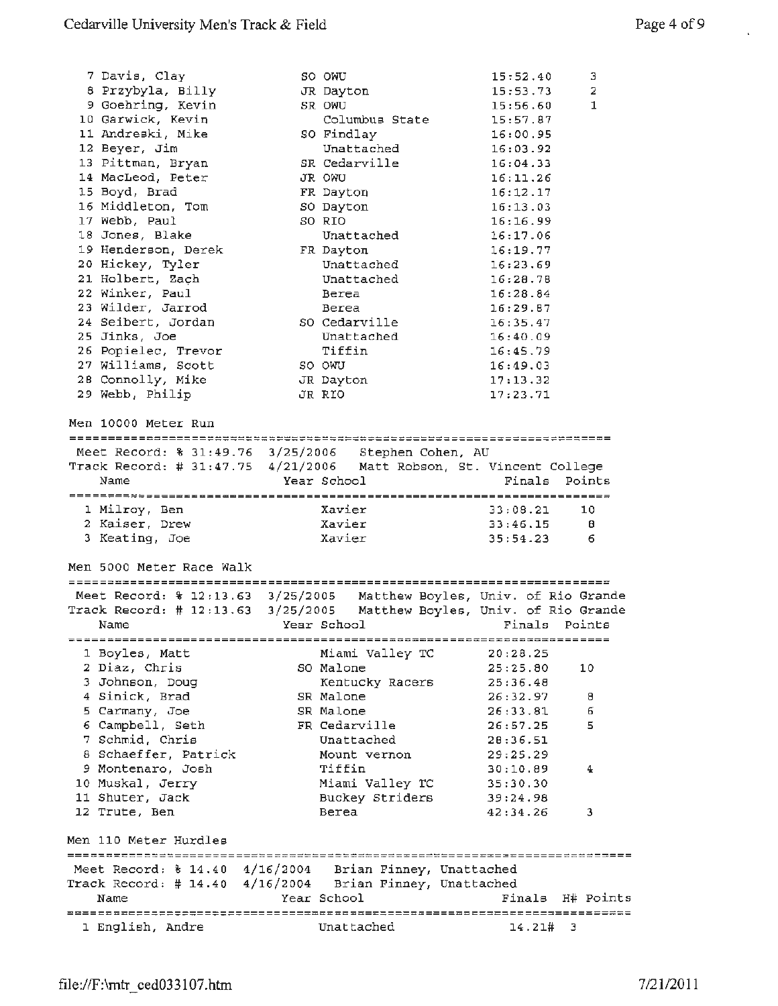i,

| 7 Davis, Clay                                                          | SO OWU      |                 | 15:52.40                            | з                |
|------------------------------------------------------------------------|-------------|-----------------|-------------------------------------|------------------|
| 8 Przybyla, Billy                                                      | JR Dayton   |                 | 15:53.73                            | 2                |
| 9 Goehring, Kevin                                                      | SR OWU      |                 | 15:56.60                            | $\mathbf{1}$     |
| 10 Garwick, Kevin                                                      |             | Columbus State  | 15:57.87                            |                  |
| 11 Andreski, Mike                                                      | SO Findlay  |                 | 16:00.95                            |                  |
| 12 Beyer, Jim                                                          |             | Unattached      | 16:03.92                            |                  |
| 13 Pittman, Bryan                                                      |             | SR Cedarville   | 16:04.33                            |                  |
| 14 MacLeod, Peter                                                      | JR OWU      |                 | 16:11.26                            |                  |
| 15 Boyd, Brad                                                          | FR Dayton   |                 | 16:12.17                            |                  |
| 16 Middleton, Tom                                                      | SO Dayton   |                 | 16:13.03                            |                  |
| 17 Webb, Paul                                                          | SO RIO      |                 | 16:16.99                            |                  |
| 18 Jones, Blake                                                        |             | Unattached      | 16:17.06                            |                  |
| 19 Henderson, Derek                                                    | FR Dayton   |                 | 16:19.77                            |                  |
| 20 Hickey, Tyler                                                       |             | Unattached      | 16:23.69                            |                  |
| 21 Holbert, Zach                                                       |             |                 |                                     |                  |
|                                                                        |             | Unattached      | 16:28.78                            |                  |
| 22 Winker, Paul                                                        |             | Berea           | 16:28.84                            |                  |
| 23 Wilder, Jarrod                                                      |             | Berea           | 16:29.87                            |                  |
| 24 Seibert, Jordan                                                     |             | SO Cedarville   | 16:35.47                            |                  |
| 25 Jinks, Joe                                                          |             | Unattached      | 16:40.09                            |                  |
| 26 Popielec, Trevor                                                    |             | Tiffin          | 16:45.79                            |                  |
| 27 Williams, Scott                                                     | SO OWU      |                 | 16:49.03                            |                  |
| 28 Connolly, Mike                                                      | JR Dayton   |                 | 17:13.32                            |                  |
| 29 Webb, Philip                                                        | JR RIO      |                 | 17:23.71                            |                  |
|                                                                        |             |                 |                                     |                  |
| Men 10000 Meter Run                                                    |             |                 |                                     |                  |
|                                                                        |             |                 |                                     |                  |
| Meet Record: % 31:49.76 3/25/2006 Stephen Cohen, AU                    |             |                 |                                     |                  |
| Track Record: # 31:47.75 4/21/2006 Matt Robson, St. Vincent College    |             |                 |                                     |                  |
| Name                                                                   | Year School |                 | Finals                              | Points           |
|                                                                        |             |                 |                                     |                  |
|                                                                        |             | Xavier          |                                     |                  |
| 1 Milroy, Ben                                                          |             |                 | 33:08.21                            | 10               |
| 2 Kaiser, Drew                                                         |             | Xavier          | 33:46.15                            | -8               |
|                                                                        |             | Xavier          | 35:54.23                            | 6                |
| 3 Keating, Joe                                                         |             |                 |                                     |                  |
|                                                                        |             |                 |                                     |                  |
| Men 5000 Meter Race Walk                                               |             |                 |                                     |                  |
|                                                                        |             |                 |                                     |                  |
| Meet Record: \$ 12:13.63 3/25/2005 Matthew Boyles, Univ. of Rio Grande |             |                 |                                     |                  |
| Track Record: # 12:13.63 3/25/2005<br>Name                             | Year School |                 | Matthew Boyles, Univ. of Rio Grande | Finals Points    |
|                                                                        |             |                 |                                     |                  |
|                                                                        |             |                 |                                     |                  |
| 1 Boyles, Matt                                                         |             | Miami Valley TC | 20:28.25                            |                  |
| 2 Diaz, Chris                                                          | SO Malone   |                 | 25:25.80                            | 10               |
| 3 Johnson, Doug                                                        |             | Kentucky Racers | 25:36.48                            |                  |
| 4 Sinick, Brad                                                         | SR Malone   |                 | 26:32.97                            | 8                |
| 5 Carmany, Joe                                                         | SR Malone   |                 | 26:33.81                            | б                |
| 6 Campbell, Seth                                                       |             | FR Cedarville   | 26:57.25                            | 5                |
| 7 Schmid, Chris                                                        |             | Unattached      | 28:36.51                            |                  |
| 8 Schaeffer, Patrick                                                   |             | Mount vernon    | 29:25.29                            |                  |
| 9 Montenaro, Josh                                                      |             | Tiffin          | 30:10.89                            | 4                |
| 10 Muskal, Jerry                                                       |             | Miami Valley TC | 35:30.30                            |                  |
| 11 Shuter, Jack                                                        |             | Buckey Striders | 39:24.98                            |                  |
| 12 Trute, Ben                                                          | Berea       |                 | 42:34.26                            | 3                |
|                                                                        |             |                 |                                     |                  |
| Men 110 Meter Hurdles                                                  |             |                 |                                     |                  |
|                                                                        |             |                 |                                     |                  |
| Meet Record: \$ 14.40 4/16/2004 Brian Finney, Unattached               |             |                 |                                     |                  |
| Track Record: # 14.40 4/16/2004 Brian Finney, Unattached               |             |                 |                                     |                  |
| Name                                                                   | Year School |                 |                                     | Finals H# Points |
| 1 English, Andre                                                       |             | Unattached      | 14.21# 3                            |                  |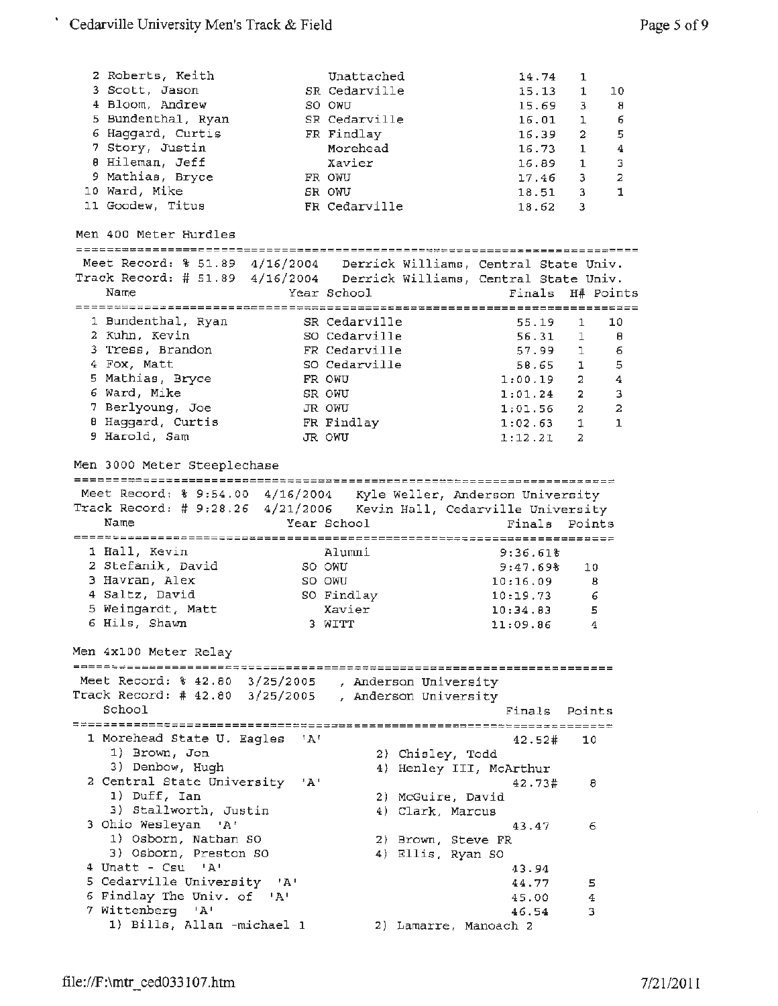| 2 Roberts, Keith<br>3 Scott, Jason<br>4 Bloom, Andrew<br>5 Bundenthal, Ryan<br>6 Haggard, Curtis<br>7 Story, Justin<br>0 Hileman, Jeff<br>9 Mathias, Bryce<br>10 Ward, Mike<br>11 Goodew, Titus          |     | Unattached<br>SR Cedarville<br>SO OWU<br>SR Cedarville<br>FR Findlay<br>Morehead<br>Xavier<br>FR OWU<br>SR OWU<br>FR Cedarville |                                                | 18.62                                                              | 14.74<br>15.13<br>15.69<br>16.01<br>16.39<br>16.73<br>16.89<br>17.46<br>18.51 | 1<br>1<br>3<br>1.<br>$\overline{2}$<br>$\mathbf{1}$<br>1<br>3<br>3<br>3 | 10<br>8<br>6<br>5<br>$\boldsymbol{4}$<br>3<br>$\overline{a}$<br>1 |
|----------------------------------------------------------------------------------------------------------------------------------------------------------------------------------------------------------|-----|---------------------------------------------------------------------------------------------------------------------------------|------------------------------------------------|--------------------------------------------------------------------|-------------------------------------------------------------------------------|-------------------------------------------------------------------------|-------------------------------------------------------------------|
| Men 400 Meter Hurdles                                                                                                                                                                                    |     |                                                                                                                                 |                                                |                                                                    |                                                                               |                                                                         |                                                                   |
|                                                                                                                                                                                                          |     |                                                                                                                                 |                                                |                                                                    |                                                                               |                                                                         |                                                                   |
| Meet Record: % 51.89 4/16/2004 Derrick Williams, Central State Univ.<br>Track Record: # 51.89 4/16/2004 Derrick Williams, Central State Univ.                                                            |     |                                                                                                                                 |                                                |                                                                    |                                                                               |                                                                         |                                                                   |
| Name                                                                                                                                                                                                     |     | Year School                                                                                                                     |                                                | Finals                                                             |                                                                               | H# Points                                                               |                                                                   |
|                                                                                                                                                                                                          |     |                                                                                                                                 |                                                |                                                                    |                                                                               |                                                                         |                                                                   |
| 1 Bundenthal, Ryan                                                                                                                                                                                       |     | SR Cedarville                                                                                                                   |                                                |                                                                    | 55.19                                                                         | 1                                                                       | 10                                                                |
| 2 Kuhn, Kevin                                                                                                                                                                                            |     | SO Cedarville                                                                                                                   |                                                |                                                                    | 56.31                                                                         | 1                                                                       | θ                                                                 |
| 3 Tress, Brandon                                                                                                                                                                                         |     | FR Cedarville                                                                                                                   |                                                |                                                                    | 57.99                                                                         | ı                                                                       | 6                                                                 |
| 4 Fox, Matt<br>5 Mathias, Bryce                                                                                                                                                                          |     | SO Cedarville<br>FR OWU                                                                                                         |                                                |                                                                    | 58.65                                                                         | $\mathbf{1}$<br>$\overline{a}$                                          | 5<br>4                                                            |
| 6 Ward, Mike                                                                                                                                                                                             |     | SR OWU                                                                                                                          |                                                | 1:00.19<br>1:01.24                                                 |                                                                               | $\mathbf{2}^-$                                                          | 3                                                                 |
| 7 Berlyoung, Joe                                                                                                                                                                                         |     | JR OWU                                                                                                                          |                                                | 1:01.56                                                            |                                                                               | $\overline{2}$                                                          | $\overline{a}$                                                    |
| 8 Haggard, Curtis                                                                                                                                                                                        |     | FR Findlay                                                                                                                      |                                                | 1:02.63                                                            |                                                                               | $\mathbf{1}$                                                            | $\mathbf{1}$                                                      |
| 9 Harold, Sam                                                                                                                                                                                            |     | JR OWU                                                                                                                          |                                                | 1:12.21                                                            |                                                                               | 2                                                                       |                                                                   |
| Meet Record: % 9:54.00 4/16/2004 Kyle Weller, Anderson University<br>Track Record: # 9:28.26 4/21/2006 Kevin Hall, Cedarville University<br>Name<br>1 Hall, Kevin<br>2 Stefanik, David<br>3 Havran, Alex |     | Year School<br>Alumni<br>SO OWU                                                                                                 |                                                | Finals<br>========== <b>=========</b> ====<br>9:36.618<br>9:47.69% |                                                                               | Points<br>10                                                            |                                                                   |
| 4 Saltz, David                                                                                                                                                                                           |     | SO OWU<br>SO Findlay                                                                                                            |                                                | 10:16.09<br>10:19.73                                               |                                                                               | 8<br>6                                                                  |                                                                   |
| 5 Weingardt, Matt                                                                                                                                                                                        |     | Xavier                                                                                                                          |                                                | 10:34.83                                                           |                                                                               | 5                                                                       |                                                                   |
| 6 Hils, Shawn                                                                                                                                                                                            |     | 3 WITT                                                                                                                          |                                                | 11:09.86                                                           |                                                                               | 4                                                                       |                                                                   |
| Men 4x100 Meter Relay                                                                                                                                                                                    |     |                                                                                                                                 |                                                |                                                                    |                                                                               |                                                                         |                                                                   |
|                                                                                                                                                                                                          |     |                                                                                                                                 |                                                |                                                                    |                                                                               |                                                                         |                                                                   |
| Meet Record: % 42.80 3/25/2005                                                                                                                                                                           |     |                                                                                                                                 |                                                |                                                                    |                                                                               |                                                                         |                                                                   |
| Track Record: # $42.80$ $3/25/2005$                                                                                                                                                                      |     |                                                                                                                                 | , Anderson University<br>, Anderson University |                                                                    |                                                                               |                                                                         |                                                                   |
| School                                                                                                                                                                                                   |     |                                                                                                                                 |                                                |                                                                    |                                                                               | Finals Points                                                           |                                                                   |
|                                                                                                                                                                                                          |     |                                                                                                                                 |                                                |                                                                    |                                                                               |                                                                         |                                                                   |
| 1 Morehead State U. Eagles<br>1) Brown, Jon                                                                                                                                                              | 'A' |                                                                                                                                 | 2) Chisley, Todd                               | 42.52#                                                             |                                                                               | 10                                                                      |                                                                   |
| 3) Denbow, Hugh<br>2 Central State University                                                                                                                                                            | 'A' |                                                                                                                                 |                                                | 4) Henley III, McArthur<br>42.73#                                  |                                                                               | 8                                                                       |                                                                   |
| 1) Duff, Ian                                                                                                                                                                                             |     |                                                                                                                                 | 2) McGuire, David                              |                                                                    |                                                                               |                                                                         |                                                                   |
| 3) Stallworth, Justin                                                                                                                                                                                    |     |                                                                                                                                 | 4) Clark, Marcus                               |                                                                    |                                                                               |                                                                         |                                                                   |
| 3 Ohio Wesleyan 'A'                                                                                                                                                                                      |     |                                                                                                                                 |                                                | 43.47                                                              |                                                                               | 6                                                                       |                                                                   |
| 1) Osborn, Nathan SO                                                                                                                                                                                     |     |                                                                                                                                 | 2) Brown, Steve FR                             |                                                                    |                                                                               |                                                                         |                                                                   |
| 3) Osborn, Preston SO                                                                                                                                                                                    |     |                                                                                                                                 | 4) Ellis, Ryan SO                              |                                                                    |                                                                               |                                                                         |                                                                   |
| 4 Unatt - Csu 'A'                                                                                                                                                                                        |     |                                                                                                                                 |                                                | 43.94                                                              |                                                                               |                                                                         |                                                                   |
| 5 Cedarville University 'A'                                                                                                                                                                              |     |                                                                                                                                 |                                                | 44.77                                                              |                                                                               | 5                                                                       |                                                                   |
| 6 Findlay The Univ. of 'A'<br>7 Wittenberg 'A'                                                                                                                                                           |     |                                                                                                                                 |                                                | 45.00<br>46.54                                                     |                                                                               | 4<br>з                                                                  |                                                                   |

 $\hat{\boldsymbol{\gamma}}$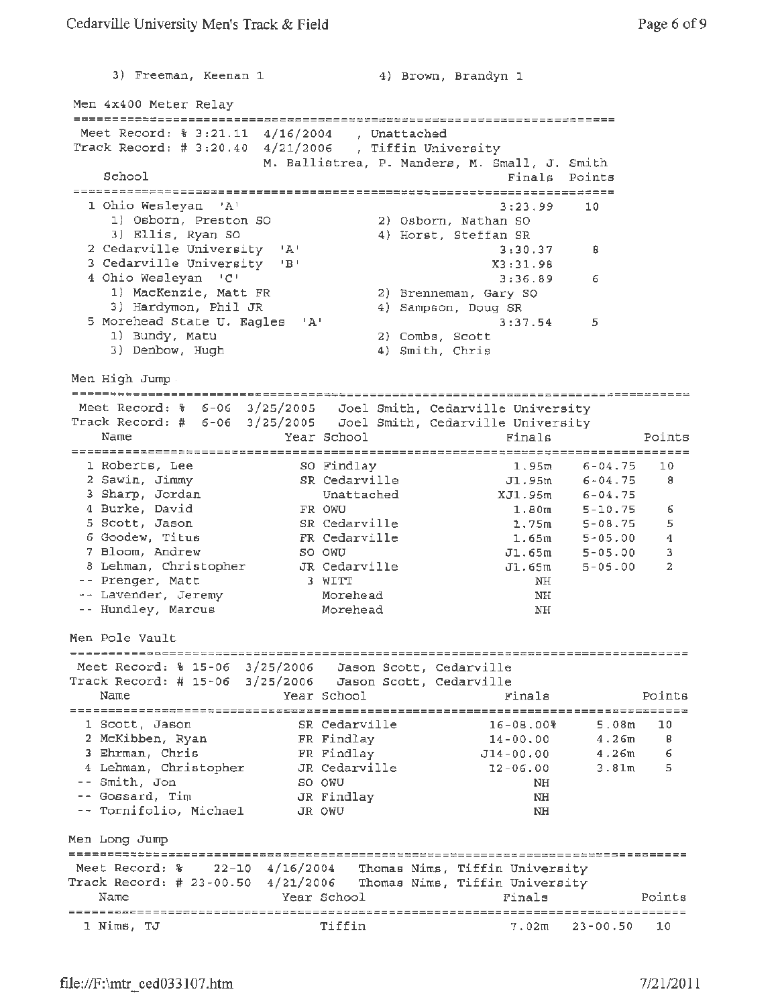3) Freeman, Keenan 1 4) Brown, Brandyn 1 Men 4x400 Meter Relay Meet Record: % 3:21.11 4/16/2004 , unattached Track Record; # 3:20.40 4/21/2006 , Tiffin University M. Ballistrea, P. Manders, M. Small, J. Smith School Finals Points 1 Ohio Wesleyan 'A' 3:23.99 10 1) Osborn, Preston SO 2) Osborn, Nathan so 3) Ellis, Ryan so 4) Horst, Steffan SR 2 Cedarville University 'A' 3:30.37 8 3 Cedarville University 'B' X3:31.98 4 Ohio Wesleyan 'C' 3:36.89 6<br>1) MacKenzie, Matt FR 3:36.89 6 1) MacKenzie, Matt FR 2) Brenneman, Gary SO 3) Hardymon, Phil JR 4) Sampson, Doug SR 5 Morehead State U. Eagles 'A' 3:37.54 5 1) Bundy, Matu 2) Combs, Scott 3) Denbow, Hugh 4) Smith, Chris Men High Jump. Meet Record: % 6-06 3/25/2005 Joel Smith, Cedarville University Track Record:# 6-06 3/25/2005 Joel Smith, Cedarville University Name **Year School** Finals Points 1 Roberts, Lee so Findlay 30 Findlay 1.95m 6-04.75 10 2 Sawin, Jimmy SR Cedarville J1.95m 6-04.75 B 3 Sharp, Jordan Unattached XJ1.95m 6-04.75 4 Burke, David **FR** OWU **1.80m** 5-10.75 6 5 Scott, Jason SR Cedarville 1.75m 5-08.75 5 6 Goodew, Titus **FR Cedarville** 1.65m 5-05.00 4 7 Bloom, Andrew so owu Jl.65m 5-05.00 3 8 Lehman, Christopher JR Cedarville J1.65m 5-05-00 2 Prenger, Matt 3 WITT NH Lavender, Jeremy Morehead NH Hundley, Marcus Morehead NH Men Pole Vault Meet Record: % 15-06 3/25/2006 Jason Scott, Cedarville Track Record:# 15-06 3/25/2006 Jason Scott, Cedarville Name Year School Finals Points 1 Scott, Jason SR Cedarville 16-08.00% 5.0Bm 10 FR Findlay 14-00.00 2 McKibben, Ryan 4.26m 8 <sup>3</sup>Ehrman, Chris FR Findlay Jl4-00. 00 4.26m 6 4 Lehman, Christopher JR Cedarville 12-06.00  $3.81<sub>m</sub>$ 5 so OWU NH Smith, Jon Gossard, Tim JR Findlay NH Tornifolio, Michael JR OWU THE STATE OF THE STATE OF THE STATE OF THE STATE OF THE STATE OF THE STATE OF THE STATE OF THE STATE OF THE STATE OF THE STATE OF THE STATE OF THE STATE OF THE STATE OF THE STATE OF THE STATE OF THE STATE OF THE STA Men Long Jump Meet Record: % 22-10 4/16/2004 Thomas Nims, Tiffin University Track Record:# 23-00.50 4/21/2006 Thomas Nims, Tiffin University Year School Finals Name Points 1 Nims, TJ Tiffin 7.02m 23-00.50 10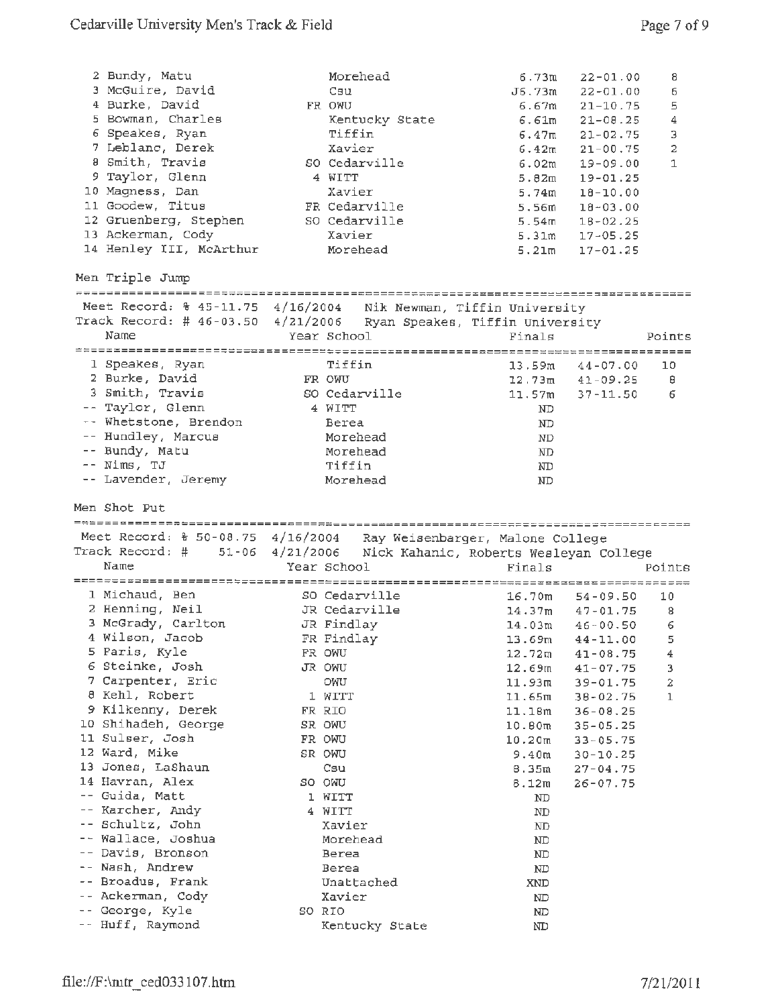|       | 2 Bundy, Matu<br>3 McGuire, David<br>4 Burke, David<br>5 Bowman, Charles<br>6 Speakes, Ryan<br>7 Leblanc, Derek<br>8 Smith, Travis<br>9 Taylor, Glenn<br>10 Magness, Dan<br>11 Goodew, Titus<br>12 Gruenberg, Stephen<br>13 Ackerman, Cody<br>14 Henley III, McArthur |                 | Morehead<br>Csu<br>FR OWU<br>Kentucky State<br>Tiffin<br>Xavier<br>SO Cedarville<br>4 WITT<br>Xavier<br>FR Cedarville<br>SO Cedarville<br>Xavier<br>Morehead | 6.73m<br>J6.73m<br>6.61m<br>6.47m<br>6.42m<br>6.02m<br>5.74m<br>5.56m<br>5.54m<br>5.31m<br>5.21m | $22 - 01.00$<br>$22 - 01.00$<br>$6.67m$ $21-10.75$<br>$21 - 08.25$<br>$21 - 02.75$<br>$21 - 00.75$<br>$19 - 09.00$<br>$5.82m$ 19-01.25<br>$18 - 10.00$<br>$18 - 03.00$<br>$18 - 02.25$<br>$17 - 05.25$<br>$17 - 01.25$ | 8<br>6<br>5<br>4<br>3<br>$\overline{2}$<br>$\mathbf{1}$ |
|-------|-----------------------------------------------------------------------------------------------------------------------------------------------------------------------------------------------------------------------------------------------------------------------|-----------------|--------------------------------------------------------------------------------------------------------------------------------------------------------------|--------------------------------------------------------------------------------------------------|------------------------------------------------------------------------------------------------------------------------------------------------------------------------------------------------------------------------|---------------------------------------------------------|
|       | Men Triple Jump                                                                                                                                                                                                                                                       |                 |                                                                                                                                                              |                                                                                                  |                                                                                                                                                                                                                        |                                                         |
|       | Meet Record: \$ 45-11.75 4/16/2004 Nik Newman, Tiffin University                                                                                                                                                                                                      |                 |                                                                                                                                                              |                                                                                                  |                                                                                                                                                                                                                        |                                                         |
|       | Track Record: # $46-03.50$ $4/21/2006$                                                                                                                                                                                                                                |                 | Ryan Speakes, Tiffin University                                                                                                                              |                                                                                                  |                                                                                                                                                                                                                        |                                                         |
|       | Name                                                                                                                                                                                                                                                                  |                 | Year School                                                                                                                                                  | Finals                                                                                           |                                                                                                                                                                                                                        | Points                                                  |
|       |                                                                                                                                                                                                                                                                       |                 | Tiffin                                                                                                                                                       |                                                                                                  |                                                                                                                                                                                                                        |                                                         |
|       | 1 Speakes, Ryan<br>2 Burke, David                                                                                                                                                                                                                                     |                 | FR OWU                                                                                                                                                       |                                                                                                  | $13.59m$ $44-07.00$<br>$12.73m$ $41-09.25$                                                                                                                                                                             | 10<br>Θ                                                 |
|       | 3 Smith, Travis                                                                                                                                                                                                                                                       |                 | SO Cedarville                                                                                                                                                |                                                                                                  | $11.57m$ $37-11.50$                                                                                                                                                                                                    | 6                                                       |
|       | -- Taylor, Glenn                                                                                                                                                                                                                                                      |                 | 4 WITT                                                                                                                                                       | ND                                                                                               |                                                                                                                                                                                                                        |                                                         |
|       | -- Whetstone, Brendon                                                                                                                                                                                                                                                 |                 | Berea                                                                                                                                                        | ND.                                                                                              |                                                                                                                                                                                                                        |                                                         |
|       | -- Hundley, Marcus                                                                                                                                                                                                                                                    |                 | Morehead                                                                                                                                                     | ND                                                                                               |                                                                                                                                                                                                                        |                                                         |
|       | -- Bundy, Matu                                                                                                                                                                                                                                                        |                 | Morehead                                                                                                                                                     | ND                                                                                               |                                                                                                                                                                                                                        |                                                         |
|       | $--$ Nims, TJ                                                                                                                                                                                                                                                         |                 | Tiffin                                                                                                                                                       | ΝD                                                                                               |                                                                                                                                                                                                                        |                                                         |
|       | -- Lavender, Jeremy                                                                                                                                                                                                                                                   |                 | Morehead                                                                                                                                                     | ND                                                                                               |                                                                                                                                                                                                                        |                                                         |
|       |                                                                                                                                                                                                                                                                       |                 |                                                                                                                                                              |                                                                                                  |                                                                                                                                                                                                                        |                                                         |
|       | Men Shot Put                                                                                                                                                                                                                                                          |                 |                                                                                                                                                              |                                                                                                  |                                                                                                                                                                                                                        |                                                         |
|       |                                                                                                                                                                                                                                                                       |                 |                                                                                                                                                              |                                                                                                  |                                                                                                                                                                                                                        |                                                         |
|       | Meet Record: % 50-08.75 4/16/2004 Ray Weisenbarger, Malone College<br>Track Record: #                                                                                                                                                                                 |                 |                                                                                                                                                              |                                                                                                  |                                                                                                                                                                                                                        |                                                         |
|       | Name                                                                                                                                                                                                                                                                  | 51-06 4/21/2006 | Nick Kahanic, Roberts Wesleyan College<br>Year School                                                                                                        | Finals                                                                                           |                                                                                                                                                                                                                        | Points                                                  |
|       |                                                                                                                                                                                                                                                                       |                 |                                                                                                                                                              |                                                                                                  |                                                                                                                                                                                                                        |                                                         |
|       | 1 Michaud, Ben                                                                                                                                                                                                                                                        |                 | SO Cedarville                                                                                                                                                |                                                                                                  | $16.70m$ $54-09.50$                                                                                                                                                                                                    | 10                                                      |
|       | 2 Henning, Neil                                                                                                                                                                                                                                                       |                 | JR Cedarville                                                                                                                                                |                                                                                                  | $14.37m$ $47-01.75$                                                                                                                                                                                                    | 8                                                       |
|       | 3 McGrady, Carlton                                                                                                                                                                                                                                                    |                 | JR Findlay                                                                                                                                                   | 14.03m                                                                                           | $46 - 00.50$                                                                                                                                                                                                           | 6                                                       |
|       | 4 Wilson, Jacob                                                                                                                                                                                                                                                       |                 | FR Findlay                                                                                                                                                   | 13.69m                                                                                           | $44 - 11.00$                                                                                                                                                                                                           | 5                                                       |
|       | 5 Faris, Kyle                                                                                                                                                                                                                                                         |                 | FR OWU                                                                                                                                                       | 12.72m                                                                                           | $41 - 08.75$                                                                                                                                                                                                           | 4                                                       |
|       | 6 Steinke, Josh                                                                                                                                                                                                                                                       |                 | JR OWU                                                                                                                                                       | 12.69m                                                                                           | $41 - 07.75$                                                                                                                                                                                                           | 3                                                       |
|       | 7 Carpenter, Eric                                                                                                                                                                                                                                                     |                 | OWU                                                                                                                                                          | 11.93m                                                                                           | 39-01.75                                                                                                                                                                                                               | 2                                                       |
|       | 8 Kehl, Robert                                                                                                                                                                                                                                                        |                 | 1 WITT<br>FR RIO                                                                                                                                             | 11.65m                                                                                           | $38 - 02.75$                                                                                                                                                                                                           | $\mathbf{1}$                                            |
|       | 9 Kilkenny, Derek<br>10 Shihadeh, George                                                                                                                                                                                                                              |                 | SR OWU                                                                                                                                                       | 11.18m<br>10.80m                                                                                 | $36 - 08.25$                                                                                                                                                                                                           |                                                         |
|       | 11 Sulser, Josh                                                                                                                                                                                                                                                       |                 | FR OWU                                                                                                                                                       | 10.20 <sub>m</sub>                                                                               | $35 - 05.25$<br>$33 - 05.75$                                                                                                                                                                                           |                                                         |
|       | 12 Ward, Mike                                                                                                                                                                                                                                                         |                 | SR OWU                                                                                                                                                       | 9.40m                                                                                            | $30 - 10.25$                                                                                                                                                                                                           |                                                         |
|       | 13 Jones, LaShaun                                                                                                                                                                                                                                                     |                 | Csu                                                                                                                                                          | 8.35m                                                                                            | $27 - 04.75$                                                                                                                                                                                                           |                                                         |
|       | 14 Havran, Alex                                                                                                                                                                                                                                                       |                 | SO OWU                                                                                                                                                       | 8.12m                                                                                            | $26 - 07.75$                                                                                                                                                                                                           |                                                         |
|       | -- Guida, Matt                                                                                                                                                                                                                                                        |                 | 1 WITT                                                                                                                                                       | ND                                                                                               |                                                                                                                                                                                                                        |                                                         |
| $ -$  | Karcher, Andy                                                                                                                                                                                                                                                         |                 | 4 WITT                                                                                                                                                       | ND                                                                                               |                                                                                                                                                                                                                        |                                                         |
|       | -- Schultz, John                                                                                                                                                                                                                                                      |                 | Xavier                                                                                                                                                       | ND                                                                                               |                                                                                                                                                                                                                        |                                                         |
| $- -$ | -- Wallace, Joshua                                                                                                                                                                                                                                                    |                 | Morehead                                                                                                                                                     | ND                                                                                               |                                                                                                                                                                                                                        |                                                         |
|       | Davis, Bronson<br>Nash, Andrew                                                                                                                                                                                                                                        |                 | Berea<br>Berea                                                                                                                                               | ND                                                                                               |                                                                                                                                                                                                                        |                                                         |
|       | Broadus, Frank                                                                                                                                                                                                                                                        |                 | Unattached                                                                                                                                                   | ND<br>XND                                                                                        |                                                                                                                                                                                                                        |                                                         |
| $ -$  | Ackerman, Cody                                                                                                                                                                                                                                                        |                 | Xavier                                                                                                                                                       | ND                                                                                               |                                                                                                                                                                                                                        |                                                         |
|       | George, Kyle<br>-- Huff, Raymond                                                                                                                                                                                                                                      |                 | SO RIO                                                                                                                                                       | ND                                                                                               |                                                                                                                                                                                                                        |                                                         |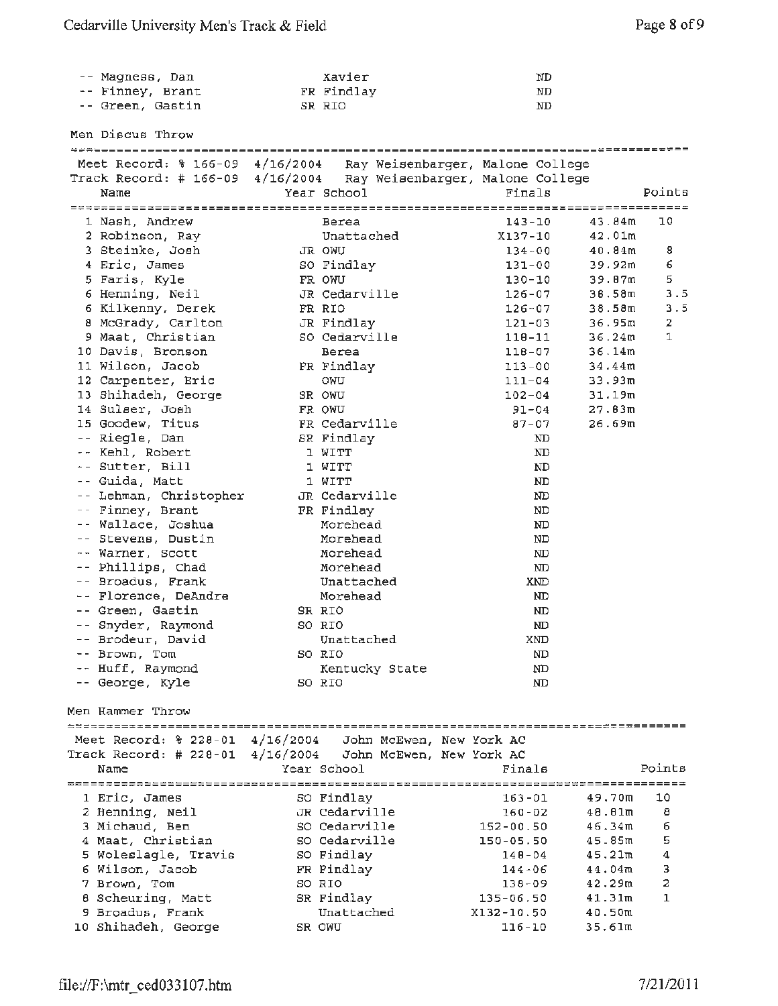| -- Magness, Dan  | Xavier     | ND |
|------------------|------------|----|
| -- Finney, Brant | FR Findlay | ND |
| -- Green, Gastin | SR RIO     | ND |

Men Discus Throw

| Meet Record: % 166-09 4/16/2004 Ray Weisenbarger, Malone College  |               |                |               |                              |        |
|-------------------------------------------------------------------|---------------|----------------|---------------|------------------------------|--------|
| Track Record: # 166-09 4/16/2004 Ray Weisenbarger, Malone College |               |                |               |                              |        |
| Name                                                              | Year School   |                | Finals        |                              | Points |
|                                                                   |               |                |               |                              |        |
| 1 Nash, Andrew                                                    | Berea         |                | $143 - 10$    | 43.84m                       | 10     |
| 2 Robinson, Ray                                                   | Unattached    |                |               | X137-10<br>42.01m            |        |
| 3 Steinke, Josh                                                   | JR OWU        |                |               | $134 - 00$<br>40.84m         | 8      |
| 4 Eric, James                                                     | SO Findlay    |                |               | $131 - 00$<br>39.92m         | 6      |
| 5 Faris, Kyle                                                     | FR OWU        |                | $130 - 10$    | 39.87m                       | 5      |
| 6 Henning, Neil                                                   | JR Cedarville |                |               | 126-07<br>38.58m             | 3.5    |
| 6 Kilkenny, Derek                                                 | FR RIO        |                |               | 126-07<br>38.58 <sub>m</sub> | 3.5    |
| 8 McGrady, Carlton                                                | JR Findlay    |                | $121 - 03$    | 36.95m                       | 2      |
| 9 Maat, Christian                                                 | SO Cedarville |                | $110 - 11$    | 36.24m                       | 1      |
| 10 Davis, Bronson                                                 | Berea         |                |               | $118 - 07$<br>36.14m         |        |
|                                                                   |               |                |               |                              |        |
| 11 Wilson, Jacob                                                  | FR Findlay    |                |               | 113-00<br>34.44m             |        |
| 12 Carpenter, Eric                                                | OWU           |                |               | $111 - 04$<br>33.93m         |        |
| 13 Shihadeh, George                                               | SR OWU        |                |               | $102 - 04$<br>31.19m         |        |
| 14 Sulser, Josh                                                   | FR OWU        |                |               | $91 - 04$<br>27.83m          |        |
| 15 Goodew, Titus                                                  | FR Cedarville |                | $87 - 07$     | 26.69m                       |        |
| -- Riegle, Dan                                                    | SR Findlay    |                |               | ND                           |        |
| -- Kehl, Robert                                                   | 1 WITT        |                |               | ND                           |        |
| -- Sutter, Bill                                                   | 1 WITT        |                |               | ND                           |        |
| -- Guida, Matt                                                    | 1 WITT        |                |               | ND                           |        |
| -- Lehman, Christopher                                            | JR Cedarville |                |               | ND                           |        |
| -- Finney, Brant                                                  | FR Findlay    |                |               | ND                           |        |
| -- Wallace, Joshua                                                | Morehead      |                |               | ND                           |        |
| -- Stevens, Dustin                                                | Morehead      |                |               | ND                           |        |
| -- Warner, Scott                                                  | Morehead      |                |               | ND                           |        |
| -- Phillips, Chad                                                 | Morehead      |                |               | ND                           |        |
| -- Broadus, Frank                                                 | Unattached    |                |               | XND                          |        |
| -- Florence, DeAndre                                              | Morehead      |                |               | ND                           |        |
| -- Green, Gastin                                                  | SR RIO        |                |               | ND                           |        |
| -- Snyder, Raymond                                                | SO RIO        |                |               | ND                           |        |
| -- Brodeur, David                                                 | Unattached    |                |               | XND                          |        |
| -- Brown, Tom                                                     | SO RIO        |                |               | <b>ND</b>                    |        |
| -- Huff, Raymond                                                  |               | Kentucky State |               | ND                           |        |
| -- George, Kyle                                                   | SO RIO        |                |               | ND                           |        |
|                                                                   |               |                |               |                              |        |
| Men Hammer Throw                                                  |               |                |               |                              |        |
|                                                                   |               |                |               |                              |        |
| Meet Record: % 228-01 4/16/2004 John McEwen, New York AC          |               |                |               |                              |        |
| Track Record: # 228-01 4/16/2004  John McEwen, New York AC        |               |                |               |                              |        |
| Name                                                              | Year School   |                | Finals        |                              | Points |
|                                                                   |               |                |               |                              |        |
| 1 Eric, James                                                     | SO Findlay    |                | $163 - 01$    | 49.70m                       | 10     |
| 2 Henning, Neil                                                   | JR Cedarville |                | $160 - 02$    | 48.01m                       | 8      |
| 3 Michaud, Ben                                                    | SO Cedarville |                | $152 - 00.50$ | 46.34m                       | 6      |
| 4 Maat, Christian                                                 | SO Cedarville |                | 150-05.50     | 45.85m                       | 5      |
| 5 Woleslagle, Travis                                              | SO Findlay    |                | $140 - 04$    | 45.21m                       | 4      |
| 6 Wilson, Jacob                                                   | FR Findlay    |                | $144 - 06$    | 44.04m                       | 3      |
| 7 Brown, Tom                                                      | SO RIO        |                | 138-09        | 42.29m                       | 2      |
| 8 Scheuring, Matt                                                 | SR Findlay    |                | $135 - 06.50$ | 41.31m                       | 1      |
| 9 Broadus, Frank                                                  | Unattached    |                | X132-10.50    | 40.50m                       |        |
| 10 Shihadeh, George                                               |               |                | $116 - 10$    | 35.61m                       |        |
|                                                                   | SR OWU        |                |               |                              |        |